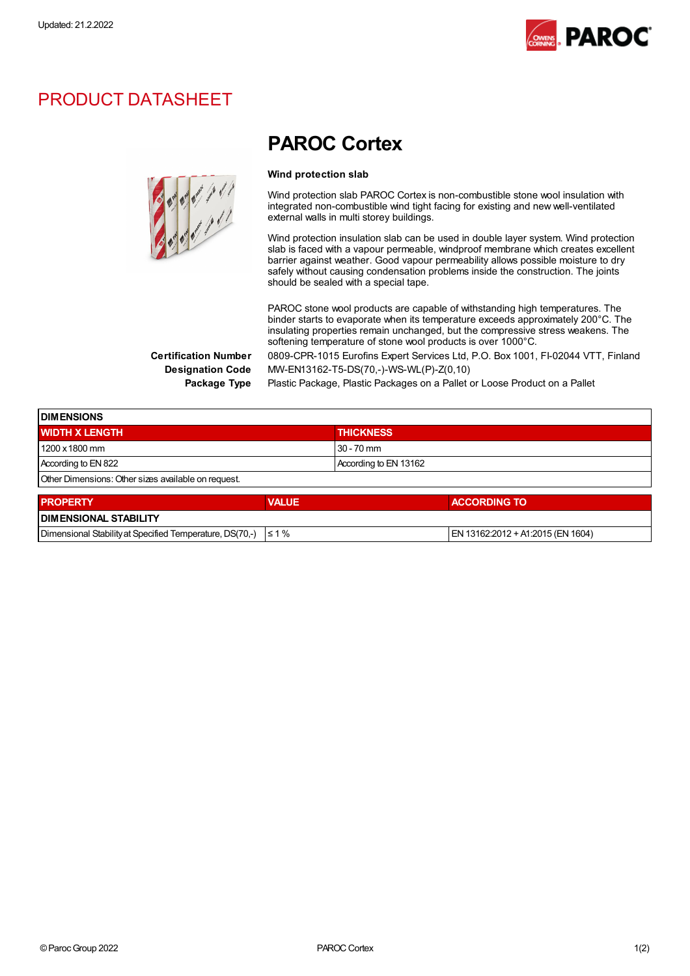

## PRODUCT DATASHEET

# **Collage Cold**<br>Collage Cold

# PAROC Cortex

#### Wind protection slab

Wind protection slab PAROC Cortex is non-combustible stone wool insulation with integrated non-combustible wind tight facing for existing and new well-ventilated external walls in multi storey buildings.

Wind protection insulation slab can be used in double layer system. Wind protection slab is faced with a vapour permeable, windproof membrane which creates excellent barrier against weather. Good vapour permeability allows possible moisture to dry safely without causing condensation problems inside the construction. The joints should be sealed with a special tape.

PAROC stone wool products are capable of withstanding high temperatures. The binder starts to evaporate when its temperature exceeds approximately 200°C. The insulating properties remain unchanged, but the compressive stress weakens. The softening temperature of stone wool products is over 1000°C.

Certification Number 0809-CPR-1015 Eurofins Expert Services Ltd, P.O. Box 1001, FI-02044 VTT, Finland Designation Code MW-EN13162-T5-DS(70,-)-WS-WL(P)-Z(0,10)

Package Type Plastic Package, Plastic Packages on a Pallet or Loose Product on a Pallet

| <b>DIMENSIONS</b>                                        |              |                                   |  |  |
|----------------------------------------------------------|--------------|-----------------------------------|--|--|
| <b>WIDTH X LENGTH</b>                                    |              | <b>THICKNESS</b>                  |  |  |
| 1200 x 1800 mm                                           |              | $30 - 70$ mm                      |  |  |
| According to EN 822                                      |              | According to EN 13162             |  |  |
| Other Dimensions: Other sizes available on request.      |              |                                   |  |  |
| <b>PROPERTY</b>                                          | <b>VALUE</b> | <b>ACCORDING TO</b>               |  |  |
| <b>DIMENSIONAL STABILITY</b>                             |              |                                   |  |  |
| Dimensional Stability at Specified Temperature, DS(70,-) | $\leq 1\%$   | EN 13162:2012 + A1:2015 (EN 1604) |  |  |